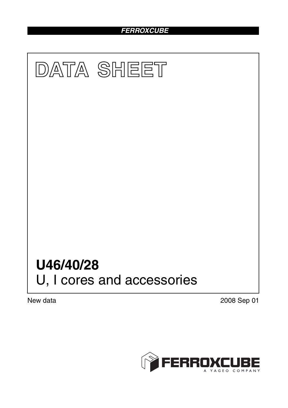# *FERROXCUBE*



New data 2008 Sep 01

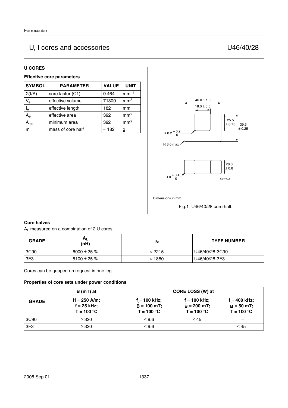## U, I cores and accessories U46/40/28

#### **U CORES**

#### **Effective core parameters**

| <b>SYMBOL</b>               | <b>PARAMETER</b>  | <b>VALUE</b>  | <b>UNIT</b>     |
|-----------------------------|-------------------|---------------|-----------------|
| $\Sigma(I/A)$               | core factor (C1)  | 0.464         | $mm-1$          |
| $V_{e}$                     | effective volume  | 71300         | mm <sup>3</sup> |
| l <sub>e</sub>              | effective length  | 182           | mm              |
| $A_{\rm e}$                 | effective area    | 392           | mm <sup>2</sup> |
| $\mathsf{A}_{\mathsf{min}}$ | minimum area      | 392           | mm <sup>2</sup> |
| m                           | mass of core half | $\approx$ 182 | g               |



#### **Core halves**

AL measured on a combination of 2 U cores.

| <b>GRADE</b> | A <sub>L</sub><br>(nH) | μe             | <b>TYPE NUMBER</b> |
|--------------|------------------------|----------------|--------------------|
| 3C90         | 6000 $\pm$ 25 %        | $\approx$ 2215 | U46/40/28-3C90     |
| 3F3          | 5100 $\pm$ 25 %        | $\approx$ 1880 | U46/40/28-3F3      |

Cores can be gapped on request in one leg.

#### **Properties of core sets under power conditions**

|                 | B (mT) at                                       |                                                  | CORE LOSS (W) at                                |                                                 |
|-----------------|-------------------------------------------------|--------------------------------------------------|-------------------------------------------------|-------------------------------------------------|
| <b>GRADE</b>    | $H = 250$ A/m;<br>$f = 25$ kHz;<br>$T = 100 °C$ | $f = 100$ kHz;<br>$B = 100 mT$ ;<br>$T = 100 °C$ | $f = 100$ kHz;<br>$B = 200$ mT;<br>$T = 100 °C$ | $f = 400$ kHz;<br>$B = 50 mT$ ;<br>$T = 100 °C$ |
| 3C90            | $\geq$ 320                                      | $\leq 9.6$                                       | $\leq 45$                                       |                                                 |
| 3F <sub>3</sub> | $\geq 320$                                      | $\leq 9.6$                                       |                                                 | $\leq 45$                                       |